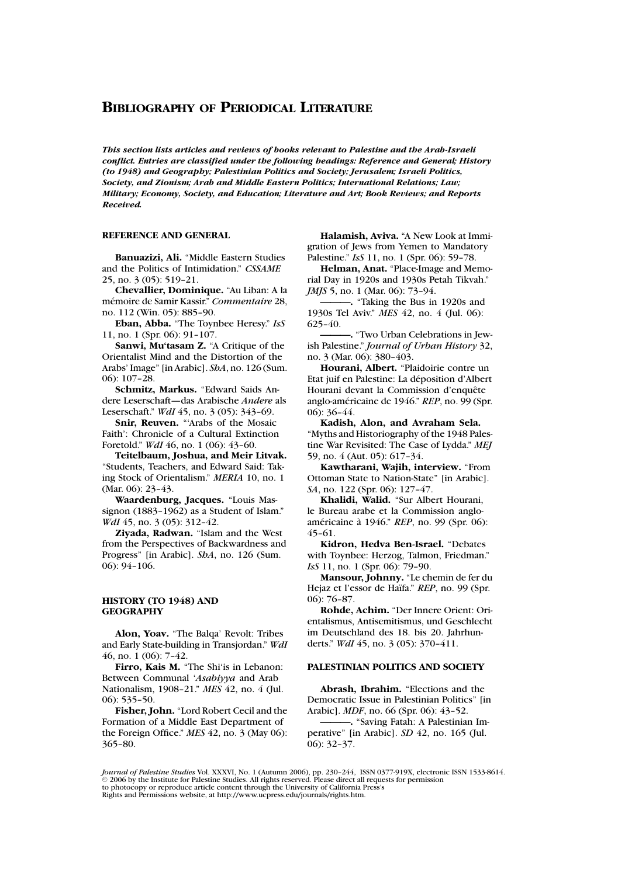*This section lists articles and reviews of books relevant to Palestine and the Arab-Israeli conflict. Entries are classified under the following headings: Reference and General; History (to 1948) and Geography; Palestinian Politics and Society; Jerusalem; Israeli Politics, Society, and Zionism; Arab and Middle Eastern Politics; International Relations; Law; Military; Economy, Society, and Education; Literature and Art; Book Reviews; and Reports Received.*

### **REFERENCE AND GENERAL**

**Banuazizi, Ali.** "Middle Eastern Studies and the Politics of Intimidation." *CSSAME* 25, no. 3 (05): 519–21.

**Chevallier, Dominique.** "Au Liban: A la m´emoire de Samir Kassir." *Commentaire* 28, no. 112 (Win. 05): 885–90.

**Eban, Abba.** "The Toynbee Heresy." *IsS* 11, no. 1 (Spr. 06): 91–107.

**Sanwi, Mu'tasam Z.** "A Critique of the Orientalist Mind and the Distortion of the Arabs' Image" [in Arabic]. *ShA*, no. 126 (Sum. 06): 107–28.

**Schmitz, Markus.** "Edward Saids Andere Leserschaft—das Arabische *Andere* als Leserschaft." *WdI* 45, no. 3 (05): 343–69.

**Snir, Reuven.** "Arabs of the Mosaic Faith': Chronicle of a Cultural Extinction Foretold." *WdI* 46, no. 1 (06): 43–60.

**Teitelbaum, Joshua, and Meir Litvak.** "Students, Teachers, and Edward Said: Taking Stock of Orientalism." *MERIA* 10, no. 1 (Mar. 06): 23-43.

**Waardenburg, Jacques.** "Louis Massignon (1883-1962) as a Student of Islam." *WdI* 45, no. 3 (05): 312-42.

**Ziyada, Radwan.** "Islam and the West from the Perspectives of Backwardness and Progress" [in Arabic]. *ShA*, no. 126 (Sum. 06): 94–106.

### **HISTORY (TO 1948) AND GEOGRAPHY**

**Alon, Yoav.** "The Balqa' Revolt: Tribes and Early State-building in Transjordan." *WdI* 46, no. 1 (06): 7–42.

**Firro, Kais M.** "The Shi'is in Lebanon: Between Communal '*Asabiyya* and Arab Nationalism, 1908–21." *MES* 42, no. 4 (Jul. 06): 535–50.

**Fisher, John.** "Lord Robert Cecil and the Formation of a Middle East Department of the Foreign Office." *MES* 42, no. 3 (May 06): 365–80.

**Halamish, Aviva.** "A New Look at Immigration of Jews from Yemen to Mandatory Palestine." *IsS* 11, no. 1 (Spr. 06): 59–78.

**Helman, Anat.** "Place-Image and Memorial Day in 1920s and 1930s Petah Tikvah." *JMJS* 5, no. 1 (Mar. 06): 73-94.

**———.** "Taking the Bus in 1920s and 1930s Tel Aviv." *MES* 42, no. 4 (Jul. 06): 625–40.

**———.** "Two Urban Celebrations in Jewish Palestine." *Journal of Urban History* 32, no. 3 (Mar. 06): 380–403.

**Hourani, Albert.** "Plaidoirie contre un Etat juif en Palestine: La déposition d'Albert Hourani devant la Commission d'enquête anglo-américaine de 1946." REP, no. 99 (Spr. 06): 36–44.

**Kadish, Alon, and Avraham Sela.** "Myths and Historiography of the 1948 Palestine War Revisited: The Case of Lydda." *MEJ* 59, no. 4 (Aut. 05): 617–34.

**Kawtharani, Wajih, interview.** "From Ottoman State to Nation-State" [in Arabic]. *SA*, no. 122 (Spr. 06): 127–47.

**Khalidi, Walid.** "Sur Albert Hourani, le Bureau arabe et la Commission angloaméricaine à 1946." *REP*, no. 99 (Spr. 06): 45–61.

**Kidron, Hedva Ben-Israel.** "Debates with Toynbee: Herzog, Talmon, Friedman." *IsS* 11, no. 1 (Spr. 06): 79–90.

**Mansour, Johnny.** "Le chemin de fer du Hejaz et l'essor de Haïfa." REP, no. 99 (Spr. 06): 76–87.

**Rohde, Achim.** "Der Innere Orient: Orientalismus, Antisemitismus, und Geschlecht im Deutschland des 18. bis 20. Jahrhunderts." *WdI* 45, no. 3 (05): 370–411.

### **PALESTINIAN POLITICS AND SOCIETY**

**Abrash, Ibrahim.** "Elections and the Democratic Issue in Palestinian Politics" [in Arabic]. *MDF*, no. 66 (Spr. 06): 43–52.

**———.** "Saving Fatah: A Palestinian Imperative" [in Arabic]. *SD* 42, no. 165 (Jul. 06): 32–37.

*Journal of Palestine Studies* Vol. XXXVI, No. 1 (Autumn 2006), pp. 230–244, ISSN 0377-919X, electronic ISSN 1533-8614.  $\odot$  2006 by the Institute for Palestine Studies. All rights reserved. Please direct all requests for permission to photocopy or reproduce article content through the University of California Press's Rights and Permissions website, at http://www.ucpress.edu/journals/rights.htm.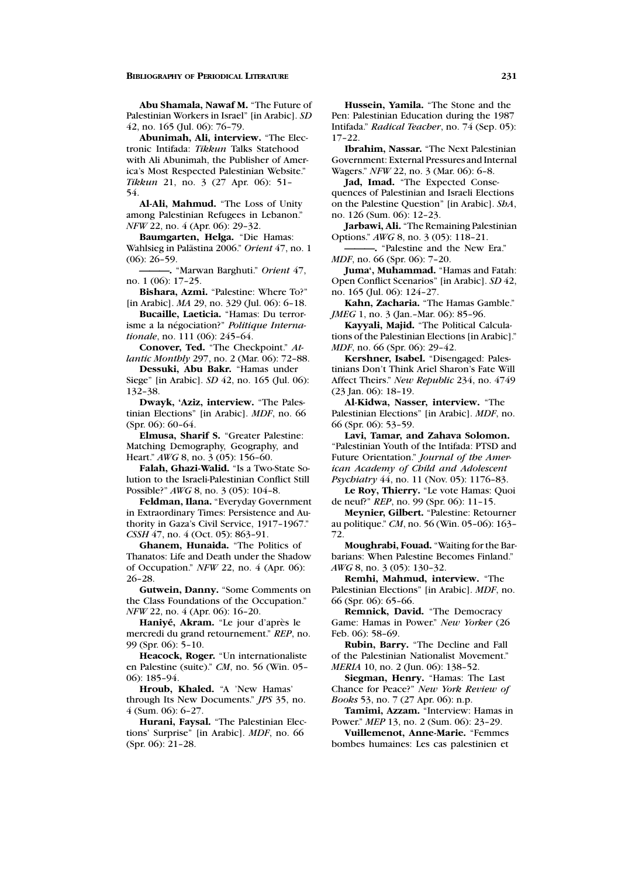**Abu Shamala, Nawaf M.** "The Future of Palestinian Workers in Israel" [in Arabic]. *SD* 42, no. 165 (Jul. 06): 76–79.

**Abunimah, Ali, interview.** "The Electronic Intifada: *Tikkun* Talks Statehood with Ali Abunimah, the Publisher of America's Most Respected Palestinian Website." *Tikkun* 21, no. 3 (27 Apr. 06): 51– 54.

**Al-Ali, Mahmud.** "The Loss of Unity among Palestinian Refugees in Lebanon." *NFW* 22, no. 4 (Apr. 06): 29–32.

**Baumgarten, Helga.** "Die Hamas: Wahlsieg in Palästina 2006." Orient 47, no. 1 (06): 26–59.

**———.** "Marwan Barghuti." *Orient* 47, no. 1 (06): 17–25.

**Bishara, Azmi.** "Palestine: Where To?" [in Arabic]. *MA* 29, no. 329 (Jul. 06): 6–18.

**Bucaille, Laeticia.** "Hamas: Du terrorisme a la négociation?" *Politique Internationale*, no. 111 (06): 245–64.

**Conover, Ted.** "The Checkpoint." *Atlantic Monthly* 297, no. 2 (Mar. 06): 72–88.

**Dessuki, Abu Bakr.** "Hamas under Siege" [in Arabic]. *SD* 42, no. 165 (Jul. 06): 132–38.

**Dwayk, 'Aziz, interview.** "The Palestinian Elections" [in Arabic]. *MDF*, no. 66 (Spr. 06): 60–64.

**Elmusa, Sharif S.** "Greater Palestine: Matching Demography, Geography, and Heart." *AWG* 8, no. 3 (05): 156–60.

**Falah, Ghazi-Walid.** "Is a Two-State Solution to the Israeli-Palestinian Conflict Still Possible?" *AWG* 8, no. 3 (05): 104–8.

**Feldman, Ilana.** "Everyday Government in Extraordinary Times: Persistence and Authority in Gaza's Civil Service, 1917–1967." *CSSH* 47, no. 4 (Oct. 05): 863-91.

**Ghanem, Hunaida.** "The Politics of Thanatos: Life and Death under the Shadow of Occupation." *NFW* 22, no. 4 (Apr. 06): 26–28.

**Gutwein, Danny.** "Some Comments on the Class Foundations of the Occupation." *NFW* 22, no. 4 (Apr. 06): 16–20.

Haniyé, Akram. "Le jour d'après le mercredi du grand retournement." *REP*, no. 99 (Spr. 06): 5–10.

**Heacock, Roger.** "Un internationaliste en Palestine (suite)." *CM*, no. 56 (Win. 05– 06): 185–94.

**Hroub, Khaled.** "A 'New Hamas' through Its New Documents." *JPS* 35, no. 4 (Sum. 06): 6–27.

**Hurani, Faysal.** "The Palestinian Elections' Surprise" [in Arabic]. *MDF*, no. 66 (Spr. 06): 21–28.

**Hussein, Yamila.** "The Stone and the Pen: Palestinian Education during the 1987 Intifada." *Radical Teacher*, no. 74 (Sep. 05): 17–22.

**Ibrahim, Nassar.** "The Next Palestinian Government: External Pressures and Internal Wagers." *NFW* 22, no. 3 (Mar. 06): 6–8.

**Jad, Imad.** "The Expected Consequences of Palestinian and Israeli Elections on the Palestine Question" [in Arabic]. *ShA*, no. 126 (Sum. 06): 12–23.

**Jarbawi, Ali.** "The Remaining Palestinian Options." *AWG* 8, no. 3 (05): 118–21.

**———.** "Palestine and the New Era." *MDF*, no. 66 (Spr. 06): 7–20.

**Juma', Muhammad.** "Hamas and Fatah: Open Conflict Scenarios" [in Arabic]. *SD* 42, no. 165 (Jul. 06): 124–27.

**Kahn, Zacharia.** "The Hamas Gamble." *JMEG* 1, no. 3 (Jan.–Mar. 06): 85–96.

**Kayyali, Majid.** "The Political Calculations of the Palestinian Elections [in Arabic]." *MDF*, no. 66 (Spr. 06): 29–42.

**Kershner, Isabel.** "Disengaged: Palestinians Don't Think Ariel Sharon's Fate Will Affect Theirs." *New Republic* 234, no. 4749 (23 Jan. 06): 18–19.

**Al-Kidwa, Nasser, interview.** "The Palestinian Elections" [in Arabic]. *MDF*, no. 66 (Spr. 06): 53–59.

**Lavi, Tamar, and Zahava Solomon.** "Palestinian Youth of the Intifada: PTSD and Future Orientation." *Journal of the American Academy of Child and Adolescent Psychiatry* 44, no. 11 (Nov. 05): 1176–83.

**Le Roy, Thierry.** "Le vote Hamas: Quoi de neuf?" *REP*, no. 99 (Spr. 06): 11–15.

**Meynier, Gilbert.** "Palestine: Retourner au politique." *CM*, no. 56 (Win. 05–06): 163– 72.

**Moughrabi, Fouad.** "Waiting for the Barbarians: When Palestine Becomes Finland." *AWG* 8, no. 3 (05): 130–32.

**Remhi, Mahmud, interview.** "The Palestinian Elections" [in Arabic]. *MDF*, no. 66 (Spr. 06): 65–66.

**Remnick, David.** "The Democracy Game: Hamas in Power." *New Yorker* (26 Feb. 06): 58–69.

**Rubin, Barry.** "The Decline and Fall of the Palestinian Nationalist Movement." *MERIA* 10, no. 2 (Jun. 06): 138–52.

**Siegman, Henry.** "Hamas: The Last Chance for Peace?" *New York Review of Books* 53, no. 7 (27 Apr. 06): n.p.

**Tamimi, Azzam.** "Interview: Hamas in Power." *MEP* 13, no. 2 (Sum. 06): 23–29.

**Vuillemenot, Anne-Marie.** "Femmes bombes humaines: Les cas palestinien et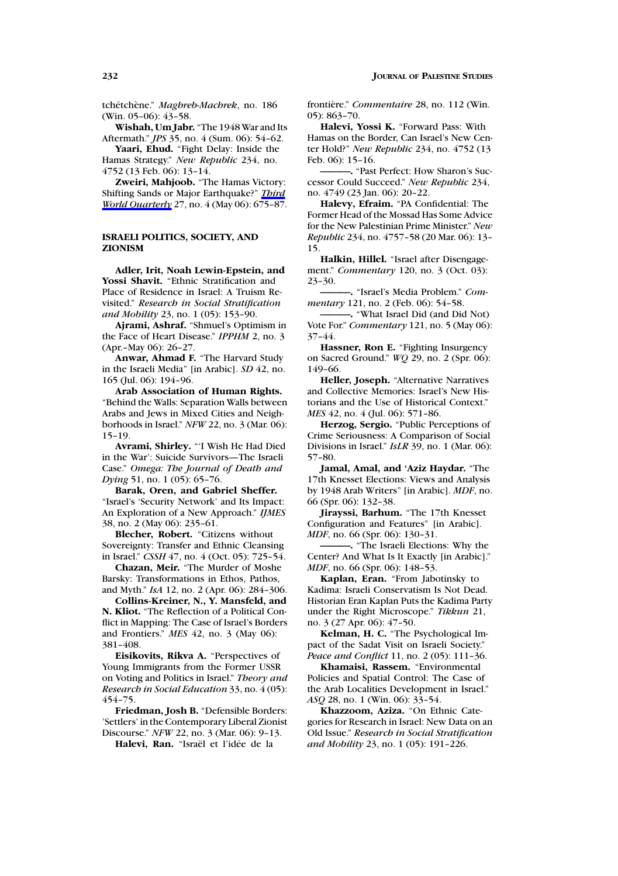tchétchène." Maghreb-Machrek, no. 186 (Win. 05–06): 43–58.

**Wishah, Um Jabr.** "The 1948 War and Its Aftermath." *JPS* 35, no. 4 (Sum. 06): 54–62.

**Yaari, Ehud.** "Fight Delay: Inside the Hamas Strategy." *New Republic* 234, no. 4752 (13 Feb. 06): 13–14.

**Zweiri, Mahjoob.** "The Hamas Victory: Shifting Sands or Major Earthquake?" *Third World Quarterly* 27, no. 4 (May 06): 675–87.

### **ISRAELI POLITICS, SOCIETY, AND ZIONISM**

**Adler, Irit, Noah Lewin-Epstein, and** Yossi Shavit. "Ethnic Stratification and Place of Residence in Israel: A Truism Revisited." *Research in Social Stratification and Mobility* 23, no. 1 (05): 153–90.

**Ajrami, Ashraf.** "Shmuel's Optimism in the Face of Heart Disease." *IPPHM* 2, no. 3 (Apr.–May 06): 26–27.

**Anwar, Ahmad F.** "The Harvard Study in the Israeli Media" [in Arabic]. *SD* 42, no. 165 (Jul. 06): 194–96.

**Arab Association of Human Rights.** "Behind the Walls: Separation Walls between Arabs and Jews in Mixed Cities and Neighborhoods in Israel." *NFW* 22, no. 3 (Mar. 06): 15–19.

**Avrami, Shirley.** "'I Wish He Had Died in the War': Suicide Survivors—The Israeli Case." *Omega: The Journal of Death and Dying* 51, no. 1 (05): 65–76.

**Barak, Oren, and Gabriel Sheffer.** "Israel's 'Security Network' and Its Impact: An Exploration of a New Approach." *IJMES* 38, no. 2 (May 06): 235–61.

**Blecher, Robert.** "Citizens without Sovereignty: Transfer and Ethnic Cleansing in Israel." *CSSH* 47, no. 4 (Oct. 05): 725–54.

**Chazan, Meir.** "The Murder of Moshe Barsky: Transformations in Ethos, Pathos, and Myth." *IsA* 12, no. 2 (Apr. 06): 284–306.

**Collins-Kreiner, N., Y. Mansfeld, and N. Kliot.** "The Reflection of a Political Conflict in Mapping: The Case of Israel's Borders and Frontiers." *MES* 42, no. 3 (May 06): 381–408.

**Eisikovits, Rikva A.** "Perspectives of Young Immigrants from the Former USSR on Voting and Politics in Israel." *Theory and Research in Social Education* 33, no. 4 (05): 454–75.

**Friedman, Josh B.** "Defensible Borders: 'Settlers' in the Contemporary Liberal Zionist Discourse." *NFW* 22, no. 3 (Mar. 06): 9–13.

Halevi, Ran. "Israël et l'idée de la

frontière." *Commentaire* 28, no. 112 (Win. 05): 863–70.

**Halevi, Yossi K.** "Forward Pass: With Hamas on the Border, Can Israel's New Center Hold?" *New Republic* 234, no. 4752 (13 Feb. 06): 15–16.

**———.** "Past Perfect: How Sharon's Successor Could Succeed." *New Republic* 234, no. 4749 (23 Jan. 06): 20–22.

**Halevy, Efraim.** "PA Confidential: The Former Head of the Mossad Has Some Advice for the New Palestinian Prime Minister." *New Republic* 234, no. 4757–58 (20 Mar. 06): 13– 15.

**Halkin, Hillel.** "Israel after Disengagement." *Commentary* 120, no. 3 (Oct. 03): 23–30.

**———.** "Israel's Media Problem." *Commentary* 121, no. 2 (Feb. 06): 54–58.

**———.** "What Israel Did (and Did Not) Vote For." *Commentary* 121, no. 5 (May 06): 37–44.

**Hassner, Ron E.** "Fighting Insurgency on Sacred Ground." *WQ* 29, no. 2 (Spr. 06): 149–66.

**Heller, Joseph.** "Alternative Narratives and Collective Memories: Israel's New Historians and the Use of Historical Context." *MES* 42, no. 4 (Jul. 06): 571-86.

**Herzog, Sergio.** "Public Perceptions of Crime Seriousness: A Comparison of Social Divisions in Israel." *IsLR* 39, no. 1 (Mar. 06): 57–80.

**Jamal, Amal, and 'Aziz Haydar.** "The 17th Knesset Elections: Views and Analysis by 1948 Arab Writers" [in Arabic]. *MDF*, no. 66 (Spr. 06): 132–38.

**Jirayssi, Barhum.** "The 17th Knesset Configuration and Features" [in Arabic]. *MDF*, no. 66 (Spr. 06): 130–31.

**———.** "The Israeli Elections: Why the Center? And What Is It Exactly [in Arabic]." *MDF*, no. 66 (Spr. 06): 148–53.

**Kaplan, Eran.** "From Jabotinsky to Kadima: Israeli Conservatism Is Not Dead. Historian Eran Kaplan Puts the Kadima Party under the Right Microscope." *Tikkun* 21, no. 3 (27 Apr. 06): 47–50.

**Kelman, H. C.** "The Psychological Impact of the Sadat Visit on Israeli Society." *Peace and Conflict* 11, no. 2 (05): 111–36.

**Khamaisi, Rassem.** "Environmental Policies and Spatial Control: The Case of the Arab Localities Development in Israel." *ASQ* 28, no. 1 (Win. 06): 33–54.

**Khazzoom, Aziza.** "On Ethnic Categories for Research in Israel: New Data on an Old Issue." *Research in Social Stratification and Mobility* 23, no. 1 (05): 191–226.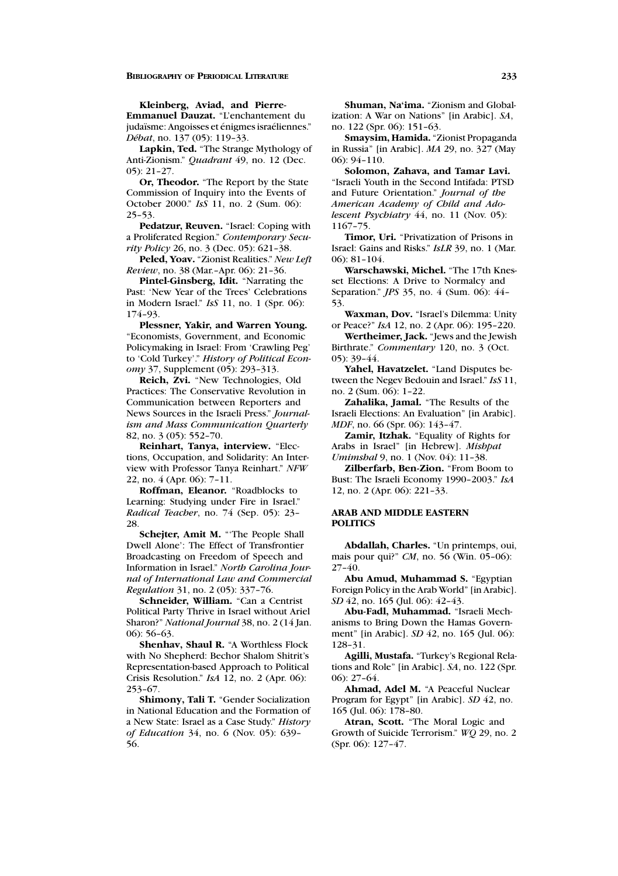**Kleinberg, Aviad, and Pierre-**

**Emmanuel Dauzat.** "L'enchantement du judaïsme: Angoisses et énigmes israéliennes." *D´ebat*, no. 137 (05): 119–33.

**Lapkin, Ted.** "The Strange Mythology of Anti-Zionism." *Quadrant* 49, no. 12 (Dec. 05): 21–27.

**Or, Theodor.** "The Report by the State Commission of Inquiry into the Events of October 2000." *IsS* 11, no. 2 (Sum. 06): 25–53.

**Pedatzur, Reuven.** "Israel: Coping with a Proliferated Region." *Contemporary Security Policy* 26, no. 3 (Dec. 05): 621–38.

**Peled, Yoav.** "Zionist Realities." *New Left Review*, no. 38 (Mar.–Apr. 06): 21–36.

**Pintel-Ginsberg, Idit.** "Narrating the Past: 'New Year of the Trees' Celebrations in Modern Israel." *IsS* 11, no. 1 (Spr. 06): 174–93.

**Plessner, Yakir, and Warren Young.** "Economists, Government, and Economic Policymaking in Israel: From 'Crawling Peg' to 'Cold Turkey'." *History of Political Economy* 37, Supplement (05): 293–313.

**Reich, Zvi.** "New Technologies, Old Practices: The Conservative Revolution in Communication between Reporters and News Sources in the Israeli Press." *Journalism and Mass Communication Quarterly* 82, no. 3 (05): 552–70.

**Reinhart, Tanya, interview.** "Elections, Occupation, and Solidarity: An Interview with Professor Tanya Reinhart." *NFW* 22, no. 4 (Apr. 06): 7–11.

**Roffman, Eleanor.** "Roadblocks to Learning: Studying under Fire in Israel." *Radical Teacher*, no. 74 (Sep. 05): 23– 28.

**Schejter, Amit M.** "'The People Shall Dwell Alone': The Effect of Transfrontier Broadcasting on Freedom of Speech and Information in Israel." *North Carolina Journal of International Law and Commercial Regulation* 31, no. 2 (05): 337–76.

**Schneider, William.** "Can a Centrist Political Party Thrive in Israel without Ariel Sharon?" *National Journal* 38, no. 2 (14 Jan. 06): 56–63.

**Shenhav, Shaul R.** "A Worthless Flock with No Shepherd: Bechor Shalom Shitrit's Representation-based Approach to Political Crisis Resolution." *IsA* 12, no. 2 (Apr. 06): 253–67.

**Shimony, Tali T.** "Gender Socialization in National Education and the Formation of a New State: Israel as a Case Study." *History of Education* 34, no. 6 (Nov. 05): 639– 56.

**Shuman, Na'ima.** "Zionism and Globalization: A War on Nations" [in Arabic]. *SA*, no. 122 (Spr. 06): 151–63.

**Smaysim, Hamida.** "Zionist Propaganda in Russia" [in Arabic]. *MA* 29, no. 327 (May 06): 94–110.

**Solomon, Zahava, and Tamar Lavi.** "Israeli Youth in the Second Intifada: PTSD and Future Orientation." *Journal of the American Academy of Child and Adolescent Psychiatry* 44, no. 11 (Nov. 05): 1167–75.

**Timor, Uri.** "Privatization of Prisons in Israel: Gains and Risks." *IsLR* 39, no. 1 (Mar. 06): 81–104.

**Warschawski, Michel.** "The 17th Knesset Elections: A Drive to Normalcy and Separation." *JPS* 35, no. 4 (Sum. 06): 44– 53.

**Waxman, Dov.** "Israel's Dilemma: Unity or Peace?" *IsA* 12, no. 2 (Apr. 06): 195–220.

**Wertheimer, Jack.** "Jews and the Jewish Birthrate." *Commentary* 120, no. 3 (Oct. 05): 39–44.

**Yahel, Havatzelet.** "Land Disputes between the Negev Bedouin and Israel." *IsS* 11, no. 2 (Sum. 06): 1–22.

**Zahalika, Jamal.** "The Results of the Israeli Elections: An Evaluation" [in Arabic]. *MDF*, no. 66 (Spr. 06): 143–47.

**Zamir, Itzhak.** "Equality of Rights for Arabs in Israel" [in Hebrew]. *Mishpat Umimshal* 9, no. 1 (Nov. 04): 11–38.

**Zilberfarb, Ben-Zion.** "From Boom to Bust: The Israeli Economy 1990–2003." *IsA* 12, no. 2 (Apr. 06): 221–33.

### **ARAB AND MIDDLE EASTERN POLITICS**

**Abdallah, Charles.** "Un printemps, oui, mais pour qui?" *CM*, no. 56 (Win. 05–06):  $27 - 40.$ 

**Abu Amud, Muhammad S.** "Egyptian Foreign Policy in the Arab World" [in Arabic]. *SD* 42, no. 165 (Jul. 06): 42–43.

**Abu-Fadl, Muhammad.** "Israeli Mechanisms to Bring Down the Hamas Government" [in Arabic]. *SD* 42, no. 165 (Jul. 06): 128–31.

**Agilli, Mustafa.** "Turkey's Regional Relations and Role" [in Arabic]. *SA*, no. 122 (Spr. 06): 27–64.

**Ahmad, Adel M.** "A Peaceful Nuclear Program for Egypt" [in Arabic]. *SD* 42, no. 165 (Jul. 06): 178–80.

**Atran, Scott.** "The Moral Logic and Growth of Suicide Terrorism." *WQ* 29, no. 2 (Spr. 06): 127–47.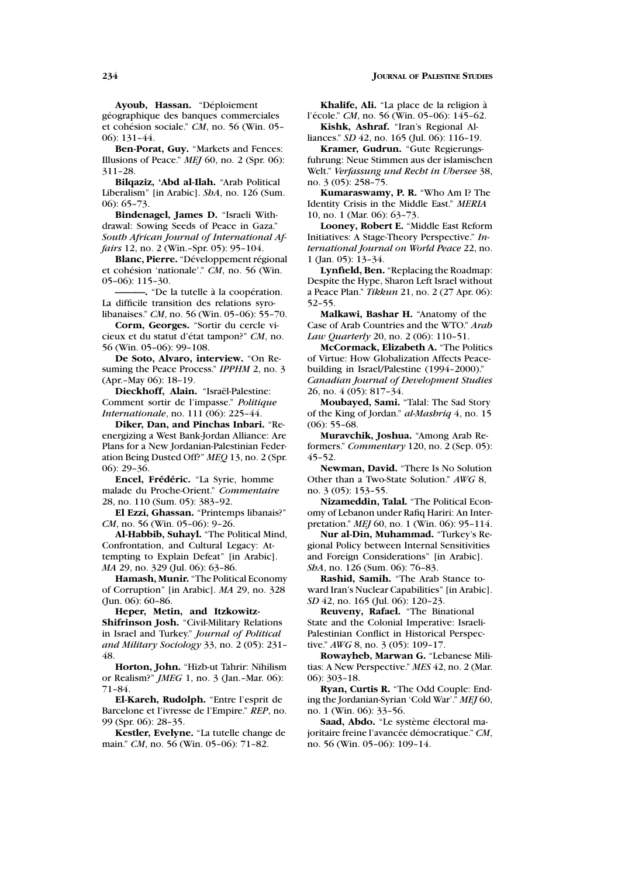Ayoub, Hassan. "Déploiement

géographique des banques commerciales et cohésion sociale." *CM*, no. 56 (Win. 05-06): 131–44.

**Ben-Porat, Guy.** "Markets and Fences: Illusions of Peace." *MEJ* 60, no. 2 (Spr. 06): 311–28.

**Bilqaziz, 'Abd al-Ilah.** "Arab Political Liberalism" [in Arabic]. *ShA*, no. 126 (Sum. 06): 65–73.

**Bindenagel, James D.** "Israeli Withdrawal: Sowing Seeds of Peace in Gaza." *South African Journal of International Affairs* 12, no. 2 (Win.–Spr. 05): 95–104.

**Blanc, Pierre.** "Développement régional et cohésion 'nationale'." *CM*, no. 56 (Win. 05–06): 115–30.

**———.** "De la tutelle `a la coop´eration. La difficile transition des relations syrolibanaises." *CM*, no. 56 (Win. 05–06): 55–70.

**Corm, Georges.** "Sortir du cercle vicieux et du statut d'état tampon?" CM, no. 56 (Win. 05–06): 99–108.

**De Soto, Alvaro, interview.** "On Resuming the Peace Process." *IPPHM* 2, no. 3 (Apr.–May 06): 18–19.

Dieckhoff, Alain. "Israël-Palestine: Comment sortir de l'impasse." *Politique Internationale*, no. 111 (06): 225-44.

**Diker, Dan, and Pinchas Inbari.** "Reenergizing a West Bank-Jordan Alliance: Are Plans for a New Jordanian-Palestinian Federation Being Dusted Off?" *MEQ* 13, no. 2 (Spr. 06): 29–36.

**Encel, Frédéric.** "La Syrie, homme malade du Proche-Orient." *Commentaire* 28, no. 110 (Sum. 05): 383–92.

**El Ezzi, Ghassan.** "Printemps libanais?" *CM*, no. 56 (Win. 05–06): 9–26.

**Al-Habbib, Suhayl.** "The Political Mind, Confrontation, and Cultural Legacy: Attempting to Explain Defeat" [in Arabic]. *MA* 29, no. 329 (Jul. 06): 63–86.

**Hamash, Munir.** "The Political Economy of Corruption" [in Arabic]. *MA* 29, no. 328 (Jun. 06): 60–86.

**Heper, Metin, and Itzkowitz-Shifrinson Josh.** "Civil-Military Relations in Israel and Turkey." *Journal of Political and Military Sociology* 33, no. 2 (05): 231– 48.

**Horton, John.** "Hizb-ut Tahrir: Nihilism or Realism?" *JMEG* 1, no. 3 (Jan.–Mar. 06): 71–84.

**El-Kareh, Rudolph.** "Entre l'esprit de Barcelone et l'ivresse de l'Empire." *REP*, no. 99 (Spr. 06): 28–35.

**Kestler, Evelyne.** "La tutelle change de main." *CM*, no. 56 (Win. 05–06): 71–82.

Khalife, Ali. "La place de la religion à l'école." *CM*, no. 56 (Win. 05-06): 145-62. **Kishk, Ashraf.** "Iran's Regional Al-

liances." *SD* 42, no. 165 (Jul. 06): 116–19. **Kramer, Gudrun.** "Gute Regierungs-

fuhrung: Neue Stimmen aus der islamischen Welt." *Verfassung und Recht in Ubersee* 38, no. 3 (05): 258–75.

**Kumaraswamy, P. R.** "Who Am I? The Identity Crisis in the Middle East." *MERIA* 10, no. 1 (Mar. 06): 63–73.

**Looney, Robert E.** "Middle East Reform Initiatives: A Stage-Theory Perspective." *International Journal on World Peace* 22, no. 1 (Jan. 05): 13–34.

**Lynfield, Ben.** "Replacing the Roadmap: Despite the Hype, Sharon Left Israel without a Peace Plan." *Tikkun* 21, no. 2 (27 Apr. 06): 52–55.

**Malkawi, Bashar H.** "Anatomy of the Case of Arab Countries and the WTO." *Arab Law Quarterly* 20, no. 2 (06): 110–51.

**McCormack, Elizabeth A.** "The Politics of Virtue: How Globalization Affects Peacebuilding in Israel/Palestine (1994–2000)." *Canadian Journal of Development Studies* 26, no. 4 (05): 817–34.

**Moubayed, Sami.** "Talal: The Sad Story of the King of Jordan." *al-Mashriq* 4, no. 15  $(06)$ : 55–68.

**Muravchik, Joshua.** "Among Arab Reformers." *Commentary* 120, no. 2 (Sep. 05): 45–52.

**Newman, David.** "There Is No Solution Other than a Two-State Solution." *AWG* 8, no. 3 (05): 153–55.

**Nizameddin, Talal.** "The Political Economy of Lebanon under Rafiq Hariri: An Interpretation." *MEJ* 60, no. 1 (Win. 06): 95–114.

**Nur al-Din, Muhammad.** "Turkey's Regional Policy between Internal Sensitivities and Foreign Considerations" [in Arabic]. *ShA*, no. 126 (Sum. 06): 76–83.

**Rashid, Samih.** "The Arab Stance toward Iran's Nuclear Capabilities" [in Arabic]. *SD* 42, no. 165 (Jul. 06): 120–23.

**Reuveny, Rafael.** "The Binational State and the Colonial Imperative: Israeli-Palestinian Conflict in Historical Perspective." *AWG* 8, no. 3 (05): 109–17.

**Rowayheb, Marwan G.** "Lebanese Militias: A New Perspective." *MES* 42, no. 2 (Mar. 06): 303–18.

**Ryan, Curtis R.** "The Odd Couple: Ending the Jordanian-Syrian 'Cold War'." *MEJ* 60, no. 1 (Win. 06): 33–56.

Saad, Abdo. "Le système électoral majoritaire freine l'avancée démocratique." CM, no. 56 (Win. 05–06): 109–14.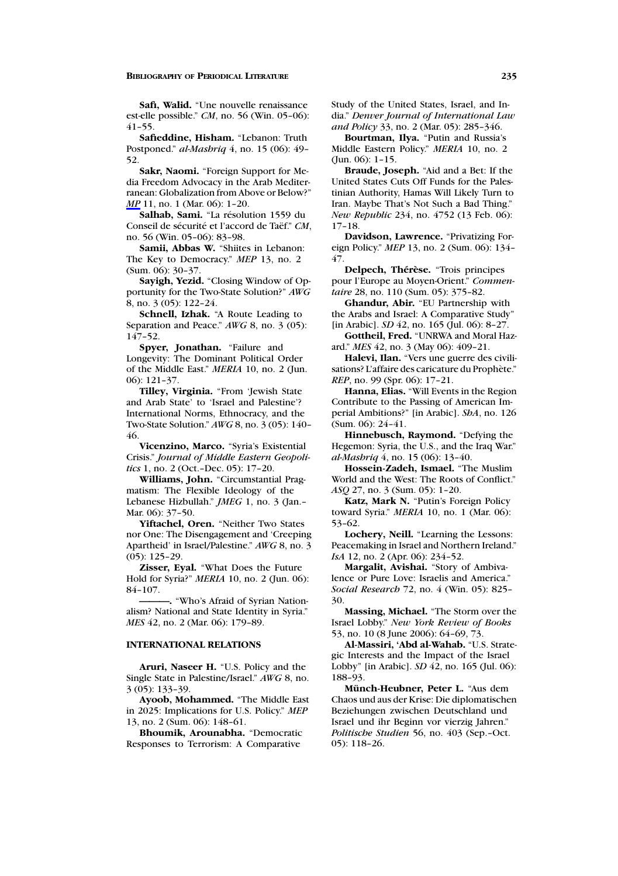**Safi, Walid.** "Une nouvelle renaissance est-elle possible." *CM*, no. 56 (Win. 05–06): 41–55.

**Safieddine, Hisham.** "Lebanon: Truth Postponed." *al-Mashriq* 4, no. 15 (06): 49– 52.

**Sakr, Naomi.** "Foreign Support for Media Freedom Advocacy in the Arab Mediterranean: Globalization from Above or Below?" *MP* 11, no. 1 (Mar. 06): 1-20.

Salhab, Sami. "La résolution 1559 du Conseil de sécurité et l'accord de Taëf." CM, no. 56 (Win. 05–06): 83–98.

**Samii, Abbas W.** "Shiites in Lebanon: The Key to Democracy." *MEP* 13, no. 2 (Sum. 06): 30–37.

**Sayigh, Yezid.** "Closing Window of Opportunity for the Two-State Solution?" *AWG* 8, no. 3 (05): 122–24.

**Schnell, Izhak.** "A Route Leading to Separation and Peace." *AWG* 8, no. 3 (05): 147–52.

**Spyer, Jonathan.** "Failure and Longevity: The Dominant Political Order of the Middle East." *MERIA* 10, no. 2 (Jun. 06): 121–37.

**Tilley, Virginia.** "From 'Jewish State and Arab State' to 'Israel and Palestine'? International Norms, Ethnocracy, and the Two-State Solution." *AWG* 8, no. 3 (05): 140– 46.

**Vicenzino, Marco.** "Syria's Existential Crisis." *Journal of Middle Eastern Geopolitics* 1, no. 2 (Oct.–Dec. 05): 17–20.

**Williams, John.** "Circumstantial Pragmatism: The Flexible Ideology of the Lebanese Hizbullah." *JMEG* 1, no. 3 (Jan.– Mar. 06): 37–50.

**Yiftachel, Oren.** "Neither Two States nor One: The Disengagement and 'Creeping Apartheid' in Israel/Palestine." *AWG* 8, no. 3 (05): 125–29.

**Zisser, Eyal.** "What Does the Future Hold for Syria?" *MERIA* 10, no. 2 (Jun. 06): 84–107.

**———.** "Who's Afraid of Syrian Nationalism? National and State Identity in Syria." *MES* 42, no. 2 (Mar. 06): 179–89.

#### **INTERNATIONAL RELATIONS**

**Aruri, Naseer H.** "U.S. Policy and the Single State in Palestine/Israel." *AWG* 8, no. 3 (05): 133–39.

**Ayoob, Mohammed.** "The Middle East in 2025: Implications for U.S. Policy." *MEP* 13, no. 2 (Sum. 06): 148–61.

**Bhoumik, Arounabha.** "Democratic Responses to Terrorism: A Comparative

Study of the United States, Israel, and India." *Denver Journal of International Law and Policy* 33, no. 2 (Mar. 05): 285–346.

**Bourtman, Ilya.** "Putin and Russia's Middle Eastern Policy." *MERIA* 10, no. 2 (Jun. 06): 1–15.

**Braude, Joseph.** "Aid and a Bet: If the United States Cuts Off Funds for the Palestinian Authority, Hamas Will Likely Turn to Iran. Maybe That's Not Such a Bad Thing." *New Republic* 234, no. 4752 (13 Feb. 06): 17–18.

**Davidson, Lawrence.** "Privatizing Foreign Policy." *MEP* 13, no. 2 (Sum. 06): 134– 47.

**Delpech, Thérèse.** "Trois principes pour l'Europe au Moyen-Orient." *Commentaire* 28, no. 110 (Sum. 05): 375–82.

**Ghandur, Abir.** "EU Partnership with the Arabs and Israel: A Comparative Study" [in Arabic]. *SD* 42, no. 165 (Jul. 06): 8–27.

**Gottheil, Fred.** "UNRWA and Moral Hazard." *MES* 42, no. 3 (May 06): 409–21.

**Halevi, Ilan.** "Vers une guerre des civilisations? L'affaire des caricature du Prophète." *REP*, no. 99 (Spr. 06): 17–21.

**Hanna, Elias.** "Will Events in the Region Contribute to the Passing of American Imperial Ambitions?" [in Arabic]. *ShA*, no. 126 (Sum. 06): 24–41.

**Hinnebusch, Raymond.** "Defying the Hegemon: Syria, the U.S., and the Iraq War." *al-Mashriq* 4, no. 15 (06): 13–40.

**Hossein-Zadeh, Ismael.** "The Muslim World and the West: The Roots of Conflict." *ASQ* 27, no. 3 (Sum. 05): 1–20.

**Katz, Mark N.** "Putin's Foreign Policy toward Syria." *MERIA* 10, no. 1 (Mar. 06): 53–62.

**Lochery, Neill.** "Learning the Lessons: Peacemaking in Israel and Northern Ireland." *IsA* 12, no. 2 (Apr. 06): 234-52.

**Margalit, Avishai.** "Story of Ambivalence or Pure Love: Israelis and America." *Social Research* 72, no. 4 (Win. 05): 825– 30.

**Massing, Michael.** "The Storm over the Israel Lobby." *New York Review of Books* 53, no. 10 (8 June 2006): 64–69, 73.

**Al-Massiri, 'Abd al-Wahab.** "U.S. Strategic Interests and the Impact of the Israel Lobby" [in Arabic]. *SD* 42, no. 165 (Jul. 06): 188–93.

**Munch-Heubner, Peter L. ¨** "Aus dem Chaos und aus der Krise: Die diplomatischen Beziehungen zwischen Deutschland und Israel und ihr Beginn vor vierzig Jahren." *Politische Studien* 56, no. 403 (Sep.–Oct. 05): 118–26.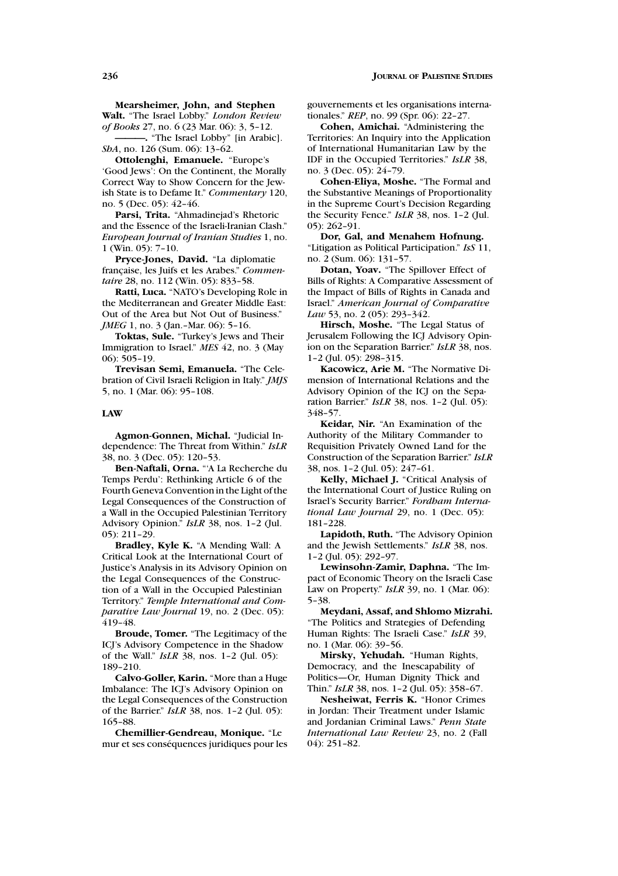**Mearsheimer, John, and Stephen Walt.** "The Israel Lobby." *London Review of Books* 27, no. 6 (23 Mar. 06): 3, 5–12.

**———.** "The Israel Lobby" [in Arabic]. *ShA*, no. 126 (Sum. 06): 13–62.

**Ottolenghi, Emanuele.** "Europe's 'Good Jews': On the Continent, the Morally Correct Way to Show Concern for the Jewish State is to Defame It." *Commentary* 120, no. 5 (Dec. 05): 42–46.

**Parsi, Trita.** "Ahmadinejad's Rhetoric and the Essence of the Israeli-Iranian Clash." *European Journal of Iranian Studies* 1, no. 1 (Win. 05): 7–10.

**Pryce-Jones, David.** "La diplomatie française, les Juifs et les Arabes." Commen*taire* 28, no. 112 (Win. 05): 833–58.

**Ratti, Luca.** "NATO's Developing Role in the Mediterranean and Greater Middle East: Out of the Area but Not Out of Business." *JMEG* 1, no. 3 (Jan.–Mar. 06): 5-16.

**Toktas, Sule.** "Turkey's Jews and Their Immigration to Israel." *MES* 42, no. 3 (May 06): 505–19.

**Trevisan Semi, Emanuela.** "The Celebration of Civil Israeli Religion in Italy." *JMJS* 5, no. 1 (Mar. 06): 95–108.

#### **LAW**

**Agmon-Gonnen, Michal.** "Judicial Independence: The Threat from Within." *IsLR* 38, no. 3 (Dec. 05): 120–53.

**Ben-Naftali, Orna.** "'A La Recherche du Temps Perdu': Rethinking Article 6 of the Fourth Geneva Convention in the Light of the Legal Consequences of the Construction of a Wall in the Occupied Palestinian Territory Advisory Opinion." *IsLR* 38, nos. 1–2 (Jul. 05): 211–29.

**Bradley, Kyle K.** "A Mending Wall: A Critical Look at the International Court of Justice's Analysis in its Advisory Opinion on the Legal Consequences of the Construction of a Wall in the Occupied Palestinian Territory." *Temple International and Comparative Law Journal* 19, no. 2 (Dec. 05): 419–48.

**Broude, Tomer.** "The Legitimacy of the ICJ's Advisory Competence in the Shadow of the Wall." *IsLR* 38, nos. 1–2 (Jul. 05): 189–210.

**Calvo-Goller, Karin.** "More than a Huge Imbalance: The ICJ's Advisory Opinion on the Legal Consequences of the Construction of the Barrier." *IsLR* 38, nos. 1–2 (Jul. 05): 165–88.

**Chemillier-Gendreau, Monique.** "Le mur et ses conséquences juridiques pour les gouvernements et les organisations internationales." *REP*, no. 99 (Spr. 06): 22–27.

**Cohen, Amichai.** "Administering the Territories: An Inquiry into the Application of International Humanitarian Law by the IDF in the Occupied Territories." *IsLR* 38, no. 3 (Dec. 05): 24–79.

**Cohen-Eliya, Moshe.** "The Formal and the Substantive Meanings of Proportionality in the Supreme Court's Decision Regarding the Security Fence." *IsLR* 38, nos. 1–2 (Jul. 05): 262–91.

**Dor, Gal, and Menahem Hofnung.** "Litigation as Political Participation." *IsS* 11, no. 2 (Sum. 06): 131–57.

**Dotan, Yoav.** "The Spillover Effect of Bills of Rights: A Comparative Assessment of the Impact of Bills of Rights in Canada and Israel." *American Journal of Comparative Law* 53, no. 2 (05): 293–342.

**Hirsch, Moshe.** "The Legal Status of Jerusalem Following the ICJ Advisory Opinion on the Separation Barrier." *IsLR* 38, nos. 1–2 (Jul. 05): 298–315.

**Kacowicz, Arie M.** "The Normative Dimension of International Relations and the Advisory Opinion of the ICJ on the Separation Barrier." *IsLR* 38, nos. 1–2 (Jul. 05): 348–57.

**Keidar, Nir.** "An Examination of the Authority of the Military Commander to Requisition Privately Owned Land for the Construction of the Separation Barrier." *IsLR* 38, nos. 1–2 (Jul. 05): 247–61.

**Kelly, Michael J.** "Critical Analysis of the International Court of Justice Ruling on Israel's Security Barrier." *Fordham International Law Journal* 29, no. 1 (Dec. 05): 181–228.

**Lapidoth, Ruth.** "The Advisory Opinion and the Jewish Settlements." *IsLR* 38, nos. 1–2 (Jul. 05): 292–97.

**Lewinsohn-Zamir, Daphna.** "The Impact of Economic Theory on the Israeli Case Law on Property." *IsLR* 39, no. 1 (Mar. 06): 5–38.

**Meydani, Assaf, and Shlomo Mizrahi.** "The Politics and Strategies of Defending Human Rights: The Israeli Case." *IsLR* 39, no. 1 (Mar. 06): 39–56.

**Mirsky, Yehudah.** "Human Rights, Democracy, and the Inescapability of Politics—Or, Human Dignity Thick and Thin." *IsLR* 38, nos. 1–2 (Jul. 05): 358–67.

**Nesheiwat, Ferris K.** "Honor Crimes in Jordan: Their Treatment under Islamic and Jordanian Criminal Laws." *Penn State International Law Review* 23, no. 2 (Fall 04): 251–82.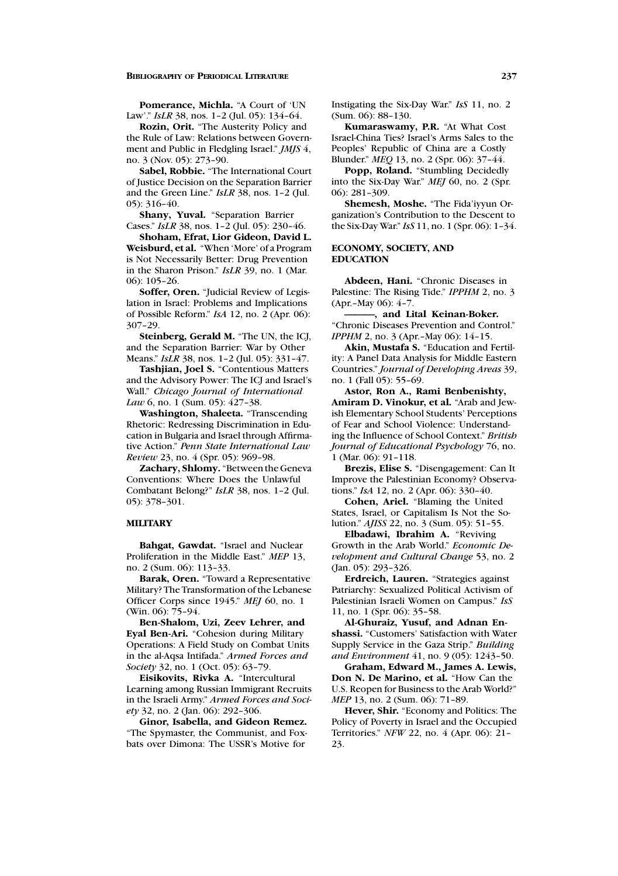**Pomerance, Michla.** "A Court of 'UN Law'." *IsLR* 38, nos. 1-2 (Jul. 05): 134-64.

**Rozin, Orit.** "The Austerity Policy and the Rule of Law: Relations between Government and Public in Fledgling Israel." *JMJS* 4, no. 3 (Nov. 05): 273–90.

**Sabel, Robbie.** "The International Court of Justice Decision on the Separation Barrier and the Green Line." *IsLR* 38, nos. 1–2 (Jul. 05): 316–40.

**Shany, Yuval.** "Separation Barrier Cases." *IsLR* 38, nos. 1–2 (Jul. 05): 230–46.

**Shoham, Efrat, Lior Gideon, David L. Weisburd, et al.** "When 'More' of a Program is Not Necessarily Better: Drug Prevention in the Sharon Prison." *IsLR* 39, no. 1 (Mar.  $06:105-26$ 

**Soffer, Oren.** "Judicial Review of Legislation in Israel: Problems and Implications of Possible Reform." *IsA* 12, no. 2 (Apr. 06): 307–29.

**Steinberg, Gerald M.** "The UN, the ICJ, and the Separation Barrier: War by Other Means." *IsLR* 38, nos. 1–2 (Jul. 05): 331–47.

**Tashjian, Joel S.** "Contentious Matters and the Advisory Power: The ICJ and Israel's Wall." *Chicago Journal of International Law* 6, no. 1 (Sum. 05): 427-38.

**Washington, Shaleeta.** "Transcending Rhetoric: Redressing Discrimination in Education in Bulgaria and Israel through Affirmative Action." *Penn State International Law Review* 23, no. 4 (Spr. 05): 969–98.

**Zachary, Shlomy.** "Between the Geneva Conventions: Where Does the Unlawful Combatant Belong?" *IsLR* 38, nos. 1–2 (Jul. 05): 378–301.

### **MILITARY**

**Bahgat, Gawdat.** "Israel and Nuclear Proliferation in the Middle East." *MEP* 13, no. 2 (Sum. 06): 113–33.

**Barak, Oren.** "Toward a Representative Military? The Transformation of the Lebanese Officer Corps since 1945." *MEJ* 60, no. 1 (Win. 06): 75–94.

**Ben-Shalom, Uzi, Zeev Lehrer, and Eyal Ben-Ari.** "Cohesion during Military Operations: A Field Study on Combat Units in the al-Aqsa Intifada." *Armed Forces and Society* 32, no. 1 (Oct. 05): 63–79.

**Eisikovits, Rivka A.** "Intercultural Learning among Russian Immigrant Recruits in the Israeli Army." *Armed Forces and Society* 32, no. 2 (Jan. 06): 292–306.

**Ginor, Isabella, and Gideon Remez.** "The Spymaster, the Communist, and Foxbats over Dimona: The USSR's Motive for

Instigating the Six-Day War." *IsS* 11, no. 2 (Sum. 06): 88–130.

**Kumaraswamy, P.R.** "At What Cost Israel-China Ties? Israel's Arms Sales to the Peoples' Republic of China are a Costly Blunder." *MEQ* 13, no. 2 (Spr. 06): 37–44.

**Popp, Roland.** "Stumbling Decidedly into the Six-Day War." *MEJ* 60, no. 2 (Spr. 06): 281–309.

**Shemesh, Moshe.** "The Fida'iyyun Organization's Contribution to the Descent to the Six-Day War." *IsS* 11, no. 1 (Spr. 06): 1–34.

#### **ECONOMY, SOCIETY, AND EDUCATION**

**Abdeen, Hani.** "Chronic Diseases in Palestine: The Rising Tide." *IPPHM* 2, no. 3 (Apr.–May 06): 4–7.

**———, and Lital Keinan-Boker.** "Chronic Diseases Prevention and Control." *IPPHM* 2, no. 3 (Apr.–May 06): 14–15.

**Akin, Mustafa S.** "Education and Fertility: A Panel Data Analysis for Middle Eastern Countries." *Journal of Developing Areas* 39, no. 1 (Fall 05): 55–69.

**Astor, Ron A., Rami Benbenishty, Amiram D. Vinokur, et al.** "Arab and Jewish Elementary School Students' Perceptions of Fear and School Violence: Understanding the Influence of School Context." *British Journal of Educational Psychology* 76, no. 1 (Mar. 06): 91–118.

**Brezis, Elise S.** "Disengagement: Can It Improve the Palestinian Economy? Observations." *IsA* 12, no. 2 (Apr. 06): 330–40.

**Cohen, Ariel.** "Blaming the United States, Israel, or Capitalism Is Not the Solution." *AJISS* 22, no. 3 (Sum. 05): 51–55.

**Elbadawi, Ibrahim A.** "Reviving Growth in the Arab World." *Economic Development and Cultural Change* 53, no. 2 (Jan. 05): 293–326.

**Erdreich, Lauren.** "Strategies against Patriarchy: Sexualized Political Activism of Palestinian Israeli Women on Campus." *IsS* 11, no. 1 (Spr. 06): 35–58.

**Al-Ghuraiz, Yusuf, and Adnan Enshassi.** "Customers' Satisfaction with Water Supply Service in the Gaza Strip." *Building and Environment* 41, no. 9 (05): 1243–50.

**Graham, Edward M., James A. Lewis, Don N. De Marino, et al.** "How Can the U.S. Reopen for Business to the Arab World?" *MEP* 13, no. 2 (Sum. 06): 71-89.

**Hever, Shir.** "Economy and Politics: The Policy of Poverty in Israel and the Occupied Territories." *NFW* 22, no. 4 (Apr. 06): 21– 23.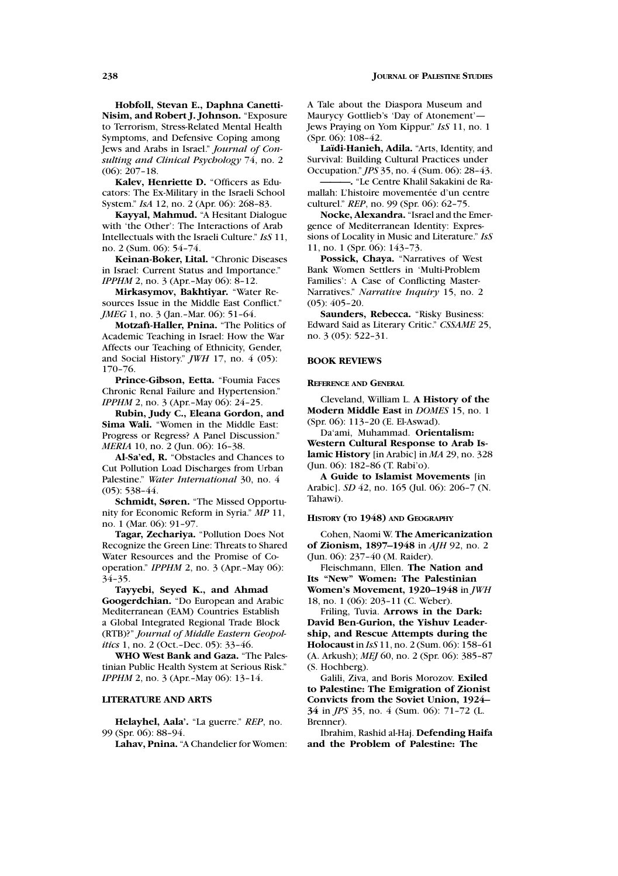**Hobfoll, Stevan E., Daphna Canetti-Nisim, and Robert J. Johnson.** "Exposure to Terrorism, Stress-Related Mental Health Symptoms, and Defensive Coping among Jews and Arabs in Israel." *Journal of Consulting and Clinical Psychology* 74, no. 2 (06): 207–18.

**Kalev, Henriette D.** "Officers as Educators: The Ex-Military in the Israeli School System." *IsA* 12, no. 2 (Apr. 06): 268–83.

**Kayyal, Mahmud.** "A Hesitant Dialogue with 'the Other': The Interactions of Arab Intellectuals with the Israeli Culture." *IsS* 11, no. 2 (Sum. 06): 54–74.

**Keinan-Boker, Lital.** "Chronic Diseases in Israel: Current Status and Importance." *IPPHM* 2, no. 3 (Apr.–May 06): 8-12.

**Mirkasymov, Bakhtiyar.** "Water Resources Issue in the Middle East Conflict." *JMEG* 1, no. 3 (Jan.–Mar. 06): 51-64.

**Motzafi-Haller, Pnina.** "The Politics of Academic Teaching in Israel: How the War Affects our Teaching of Ethnicity, Gender, and Social History." *JWH* 17, no. 4 (05): 170–76.

**Prince-Gibson, Eetta.** "Foumia Faces Chronic Renal Failure and Hypertension." *IPPHM* 2, no. 3 (Apr.–May 06): 24-25.

**Rubin, Judy C., Eleana Gordon, and Sima Wali.** "Women in the Middle East: Progress or Regress? A Panel Discussion." *MERIA* 10, no. 2 (Jun. 06): 16-38.

**Al-Sa'ed, R.** "Obstacles and Chances to Cut Pollution Load Discharges from Urban Palestine." *Water International* 30, no. 4 (05): 538–44.

**Schmidt, Søren.** "The Missed Opportunity for Economic Reform in Syria." *MP* 11, no. 1 (Mar. 06): 91–97.

**Tagar, Zechariya.** "Pollution Does Not Recognize the Green Line: Threats to Shared Water Resources and the Promise of Cooperation." *IPPHM* 2, no. 3 (Apr.–May 06): 34–35.

**Tayyebi, Seyed K., and Ahmad Googerdchian.** "Do European and Arabic Mediterranean (EAM) Countries Establish a Global Integrated Regional Trade Block (RTB)?" *Journal of Middle Eastern Geopolitics* 1, no. 2 (Oct.–Dec. 05): 33–46.

**WHO West Bank and Gaza.** "The Palestinian Public Health System at Serious Risk." *IPPHM* 2, no. 3 (Apr.-May 06): 13-14.

### **LITERATURE AND ARTS**

**Helayhel, Aala'.** "La guerre." *REP*, no. 99 (Spr. 06): 88–94.

**Lahav, Pnina.** "A Chandelier for Women:

A Tale about the Diaspora Museum and Maurycy Gottlieb's 'Day of Atonement'— Jews Praying on Yom Kippur." *IsS* 11, no. 1 (Spr. 06): 108–42.

Laïdi-Hanieh, Adila. "Arts, Identity, and Survival: Building Cultural Practices under Occupation." *JPS* 35, no. 4 (Sum. 06): 28–43.

**———.** "Le Centre Khalil Sakakini de Ramallah: L'histoire movementée d'un centre culturel." *REP*, no. 99 (Spr. 06): 62–75.

**Nocke, Alexandra.** "Israel and the Emergence of Mediterranean Identity: Expressions of Locality in Music and Literature." *IsS* 11, no. 1 (Spr. 06): 143–73.

**Possick, Chaya.** "Narratives of West Bank Women Settlers in 'Multi-Problem Families': A Case of Conflicting Master-Narratives." *Narrative Inquiry* 15, no. 2 (05): 405–20.

**Saunders, Rebecca.** "Risky Business: Edward Said as Literary Critic." *CSSAME* 25, no. 3 (05): 522–31.

### **BOOK REVIEWS**

### **REFERENCE AND GENERAL**

Cleveland, William L. **A History of the Modern Middle East** in *DOMES* 15, no. 1 (Spr. 06): 113–20 (E. El-Aswad).

Da'ami, Muhammad. **Orientalism: Western Cultural Response to Arab Islamic History** [in Arabic] in *MA* 29, no. 328 (Jun. 06): 182–86 (T. Rabi'o).

**A Guide to Islamist Movements** [in Arabic]. *SD* 42, no. 165 (Jul. 06): 206–7 (N. Tahawi).

#### **HISTORY (TO 1948) AND GEOGRAPHY**

Cohen, Naomi W. **The Americanization of Zionism, 1897–1948** in *AJH* 92, no. 2 (Jun. 06): 237–40 (M. Raider).

Fleischmann, Ellen. **The Nation and Its "New" Women: The Palestinian Women's Movement, 1920–1948** in *JWH* 18, no. 1 (06): 203–11 (C. Weber).

Friling, Tuvia. **Arrows in the Dark: David Ben-Gurion, the Yishuv Leadership, and Rescue Attempts during the Holocaust** in *IsS* 11, no. 2 (Sum. 06): 158–61 (A. Arkush); *MEJ* 60, no. 2 (Spr. 06): 385–87 (S. Hochberg).

Galili, Ziva, and Boris Morozov. **Exiled to Palestine: The Emigration of Zionist Convicts from the Soviet Union, 1924– 34** in *JPS* 35, no. 4 (Sum. 06): 71–72 (L. Brenner).

Ibrahim, Rashid al-Haj. **Defending Haifa and the Problem of Palestine: The**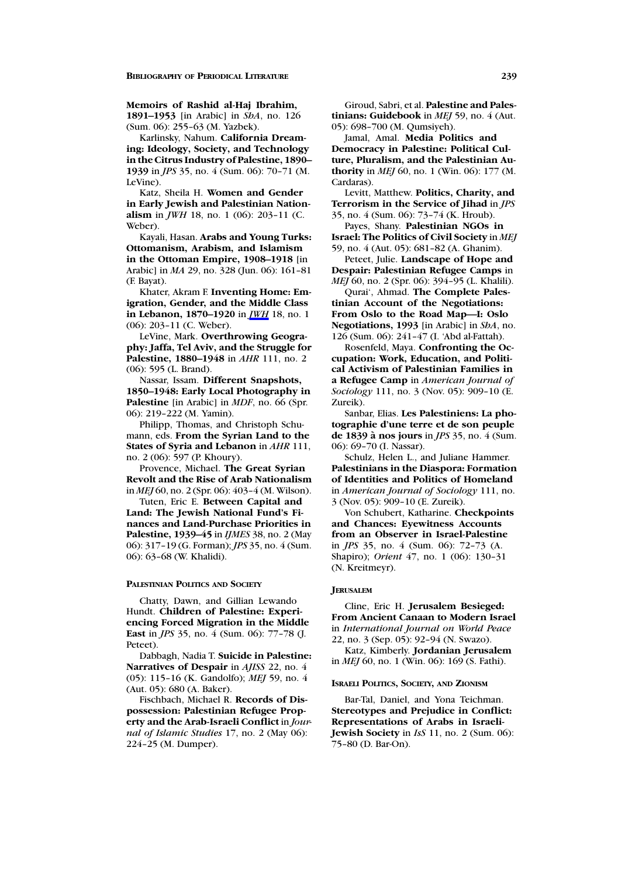### **Memoirs of Rashid al-Haj Ibrahim,**

**1891–1953** [in Arabic] in *ShA*, no. 126 (Sum. 06): 255–63 (M. Yazbek).

Karlinsky, Nahum. **California Dreaming: Ideology, Society, and Technology in the Citrus Industry of Palestine, 1890– 1939** in *JPS* 35, no. 4 (Sum. 06): 70–71 (M. LeVine).

Katz, Sheila H. **Women and Gender in Early Jewish and Palestinian Nationalism** in *JWH* 18, no. 1 (06): 203–11 (C. Weber).

Kayali, Hasan. **Arabs and Young Turks: Ottomanism, Arabism, and Islamism in the Ottoman Empire, 1908–1918** [in Arabic] in *MA* 29, no. 328 (Jun. 06): 161–81 (F. Bayat).

Khater, Akram F. **Inventing Home: Emigration, Gender, and the Middle Class in Lebanon, 1870–1920** in *JWH* 18, no. 1 (06): 203–11 (C. Weber).

LeVine, Mark. **Overthrowing Geography: Jaffa, Tel Aviv, and the Struggle for Palestine, 1880–1948** in *AHR* 111, no. 2 (06): 595 (L. Brand).

Nassar, Issam. **Different Snapshots, 1850–1948: Early Local Photography in Palestine** [in Arabic] in *MDF*, no. 66 (Spr. 06): 219–222 (M. Yamin).

Philipp, Thomas, and Christoph Schumann, eds. **From the Syrian Land to the States of Syria and Lebanon** in *AHR* 111, no. 2 (06): 597 (P. Khoury).

Provence, Michael. **The Great Syrian Revolt and the Rise of Arab Nationalism** in *MEJ* 60, no. 2 (Spr. 06): 403–4 (M. Wilson).

Tuten, Eric E. **Between Capital and Land: The Jewish National Fund's Finances and Land-Purchase Priorities in Palestine, 1939–45** in *IJMES* 38, no. 2 (May 06): 317–19 (G. Forman); *JPS* 35, no. 4 (Sum. 06): 63–68 (W. Khalidi).

#### **PALESTINIAN POLITICS AND SOCIETY**

Chatty, Dawn, and Gillian Lewando Hundt. **Children of Palestine: Experiencing Forced Migration in the Middle East** in *JPS* 35, no. 4 (Sum. 06): 77–78 (J. Peteet).

Dabbagh, Nadia T. **Suicide in Palestine: Narratives of Despair** in *AJISS* 22, no. 4 (05): 115–16 (K. Gandolfo); *MEJ* 59, no. 4 (Aut. 05): 680 (A. Baker).

Fischbach, Michael R. **Records of Dispossession: Palestinian Refugee Property and the Arab-Israeli Conflict** in *Journal of Islamic Studies* 17, no. 2 (May 06): 224–25 (M. Dumper).

Giroud, Sabri, et al. **Palestine and Palestinians: Guidebook** in *MEJ* 59, no. 4 (Aut. 05): 698–700 (M. Qumsiyeh).

Jamal, Amal. **Media Politics and Democracy in Palestine: Political Culture, Pluralism, and the Palestinian Authority** in *MEJ* 60, no. 1 (Win. 06): 177 (M. Cardaras).

Levitt, Matthew. **Politics, Charity, and Terrorism in the Service of Jihad** in *JPS* 35, no. 4 (Sum. 06): 73–74 (K. Hroub).

Payes, Shany. **Palestinian NGOs in Israel: The Politics of Civil Society** in *MEJ*

59, no. 4 (Aut. 05): 681–82 (A. Ghanim). Peteet, Julie. **Landscape of Hope and Despair: Palestinian Refugee Camps** in

*MEJ* 60, no. 2 (Spr. 06): 394–95 (L. Khalili). Qurai', Ahmad. **The Complete Palestinian Account of the Negotiations: From Oslo to the Road Map—I: Oslo**

**Negotiations, 1993** [in Arabic] in *ShA*, no. 126 (Sum. 06): 241–47 (I. 'Abd al-Fattah).

Rosenfeld, Maya. **Confronting the Occupation: Work, Education, and Political Activism of Palestinian Families in a Refugee Camp** in *American Journal of Sociology* 111, no. 3 (Nov. 05): 909–10 (E. Zureik).

Sanbar, Elias. **Les Palestiniens: La photographie d'une terre et de son peuple de 1839 a nos jours `** in *JPS* 35, no. 4 (Sum. 06): 69–70 (I. Nassar).

Schulz, Helen L., and Juliane Hammer. **Palestinians in the Diaspora: Formation of Identities and Politics of Homeland** in *American Journal of Sociology* 111, no. 3 (Nov. 05): 909–10 (E. Zureik).

Von Schubert, Katharine. **Checkpoints and Chances: Eyewitness Accounts from an Observer in Israel-Palestine** in *JPS* 35, no. 4 (Sum. 06): 72–73 (A. Shapiro); *Orient* 47, no. 1 (06): 130–31 (N. Kreitmeyr).

### **JERUSALEM**

Cline, Eric H. **Jerusalem Besieged: From Ancient Canaan to Modern Israel** in *International Journal on World Peace* 22, no. 3 (Sep. 05): 92–94 (N. Swazo).

Katz, Kimberly. **Jordanian Jerusalem** in *MEJ* 60, no. 1 (Win. 06): 169 (S. Fathi).

### **ISRAELI POLITICS, SOCIETY, AND ZIONISM**

Bar-Tal, Daniel, and Yona Teichman. **Stereotypes and Prejudice in Conflict: Representations of Arabs in Israeli-Jewish Society** in *IsS* 11, no. 2 (Sum. 06): 75–80 (D. Bar-On).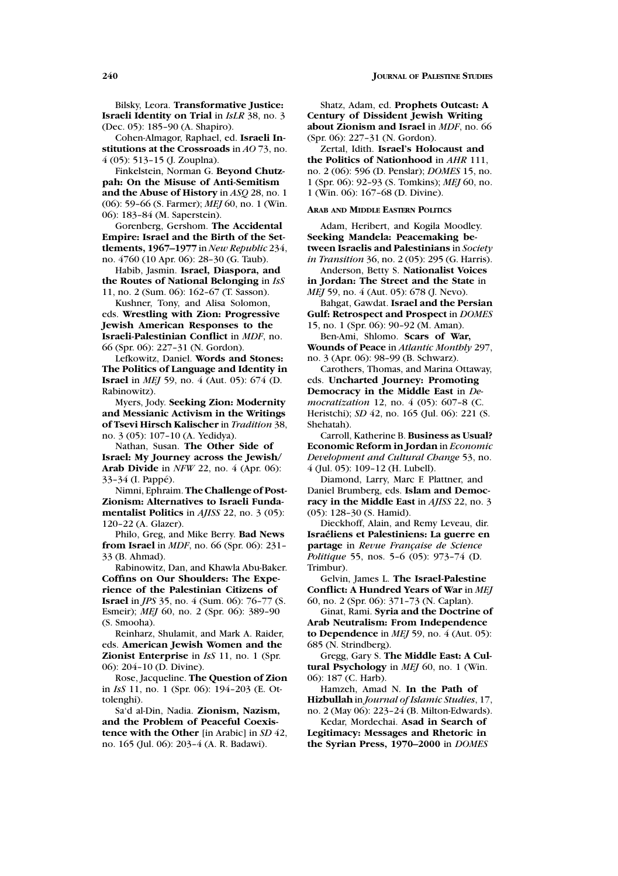Bilsky, Leora. **Transformative Justice: Israeli Identity on Trial** in *IsLR* 38, no. 3 (Dec. 05): 185–90 (A. Shapiro).

Cohen-Almagor, Raphael, ed. **Israeli Institutions at the Crossroads** in *AO* 73, no. 4 (05): 513–15 (J. Zouplna).

Finkelstein, Norman G. **Beyond Chutzpah: On the Misuse of Anti-Semitism and the Abuse of History** in *ASQ* 28, no. 1 (06): 59–66 (S. Farmer); *MEJ* 60, no. 1 (Win. 06): 183–84 (M. Saperstein).

Gorenberg, Gershom. **The Accidental Empire: Israel and the Birth of the Settlements, 1967–1977** in *New Republic* 234, no. 4760 (10 Apr. 06): 28–30 (G. Taub).

Habib, Jasmin. **Israel, Diaspora, and the Routes of National Belonging** in *IsS* 11, no. 2 (Sum. 06): 162–67 (T. Sasson).

Kushner, Tony, and Alisa Solomon, eds. **Wrestling with Zion: Progressive Jewish American Responses to the Israeli-Palestinian Conflict** in *MDF*, no. 66 (Spr. 06): 227–31 (N. Gordon).

Lefkowitz, Daniel. **Words and Stones: The Politics of Language and Identity in Israel** in *MEJ* 59, no. 4 (Aut. 05): 674 (D. Rabinowitz).

Myers, Jody. **Seeking Zion: Modernity and Messianic Activism in the Writings of Tsevi Hirsch Kalischer** in *Tradition* 38, no. 3 (05): 107–10 (A. Yedidya).

Nathan, Susan. **The Other Side of Israel: My Journey across the Jewish/ Arab Divide** in *NFW* 22, no. 4 (Apr. 06): 33-34 (I. Pappé).

Nimni, Ephraim. **The Challenge of Post-Zionism: Alternatives to Israeli Fundamentalist Politics** in *AJISS* 22, no. 3 (05): 120–22 (A. Glazer).

Philo, Greg, and Mike Berry. **Bad News from Israel** in *MDF*, no. 66 (Spr. 06): 231– 33 (B. Ahmad).

Rabinowitz, Dan, and Khawla Abu-Baker. **Coffins on Our Shoulders: The Experience of the Palestinian Citizens of Israel** in *JPS* 35, no. 4 (Sum. 06): 76–77 (S. Esmeir); *MEJ* 60, no. 2 (Spr. 06): 389–90 (S. Smooha).

Reinharz, Shulamit, and Mark A. Raider, eds. **American Jewish Women and the Zionist Enterprise** in *IsS* 11, no. 1 (Spr. 06): 204–10 (D. Divine).

Rose, Jacqueline. **The Question of Zion** in *IsS* 11, no. 1 (Spr. 06): 194–203 (E. Ottolenghi).

Sa'd al-Din, Nadia. **Zionism, Nazism, and the Problem of Peaceful Coexistence with the Other** [in Arabic] in *SD* 42, no. 165 (Jul. 06): 203–4 (A. R. Badawi).

Shatz, Adam, ed. **Prophets Outcast: A Century of Dissident Jewish Writing about Zionism and Israel** in *MDF*, no. 66 (Spr. 06): 227–31 (N. Gordon).

Zertal, Idith. **Israel's Holocaust and the Politics of Nationhood** in *AHR* 111, no. 2 (06): 596 (D. Penslar); *DOMES* 15, no. 1 (Spr. 06): 92–93 (S. Tomkins); *MEJ* 60, no. 1 (Win. 06): 167–68 (D. Divine).

### **ARAB AND MIDDLE EASTERN POLITICS**

Adam, Heribert, and Kogila Moodley. **Seeking Mandela: Peacemaking between Israelis and Palestinians** in *Society in Transition* 36, no. 2 (05): 295 (G. Harris).

Anderson, Betty S. **Nationalist Voices in Jordan: The Street and the State** in *MEJ* 59, no. 4 (Aut. 05): 678 (J. Nevo).

Bahgat, Gawdat. **Israel and the Persian Gulf: Retrospect and Prospect** in *DOMES* 15, no. 1 (Spr. 06): 90–92 (M. Aman).

Ben-Ami, Shlomo. **Scars of War, Wounds of Peace** in *Atlantic Monthly* 297, no. 3 (Apr. 06): 98–99 (B. Schwarz).

Carothers, Thomas, and Marina Ottaway, eds. **Uncharted Journey: Promoting Democracy in the Middle East** in *Democratization* 12, no. 4 (05): 607–8 (C. Heristchi); *SD* 42, no. 165 (Jul. 06): 221 (S. Shehatah).

Carroll, Katherine B. **Business as Usual? Economic Reform in Jordan** in *Economic Development and Cultural Change* 53, no. 4 (Jul. 05): 109–12 (H. Lubell).

Diamond, Larry, Marc F. Plattner, and Daniel Brumberg, eds. **Islam and Democracy in the Middle East** in *AJISS* 22, no. 3 (05): 128–30 (S. Hamid).

Dieckhoff, Alain, and Remy Leveau, dir. **Israeliens et Palestiniens: La guerre en ´** partage in *Revue Française de Science Politique* 55, nos. 5–6 (05): 973–74 (D. Trimbur).

Gelvin, James L. **The Israel-Palestine Conflict: A Hundred Years of War** in *MEJ* 60, no. 2 (Spr. 06): 371–73 (N. Caplan).

Ginat, Rami. **Syria and the Doctrine of Arab Neutralism: From Independence to Dependence** in *MEJ* 59, no. 4 (Aut. 05): 685 (N. Strindberg).

Gregg, Gary S. **The Middle East: A Cultural Psychology** in *MEJ* 60, no. 1 (Win. 06): 187 (C. Harb).

Hamzeh, Amad N. **In the Path of Hizbullah** in *Journal of Islamic Studies*, 17, no. 2 (May 06): 223–24 (B. Milton-Edwards).

Kedar, Mordechai. **Asad in Search of Legitimacy: Messages and Rhetoric in the Syrian Press, 1970–2000** in *DOMES*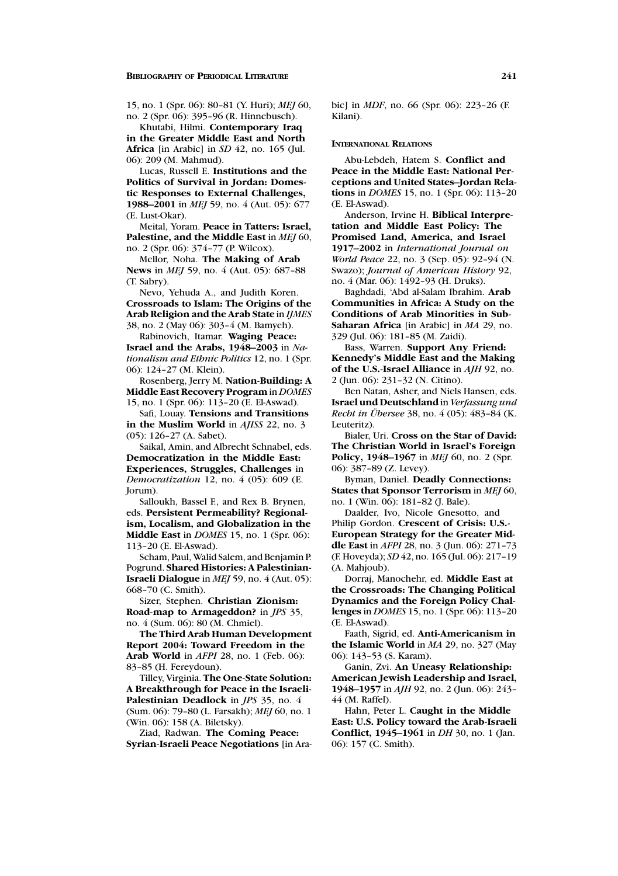15, no. 1 (Spr. 06): 80–81 (Y. Huri); *MEJ* 60, no. 2 (Spr. 06): 395–96 (R. Hinnebusch).

Khutabi, Hilmi. **Contemporary Iraq in the Greater Middle East and North Africa** [in Arabic] in *SD* 42, no. 165 (Jul. 06): 209 (M. Mahmud).

Lucas, Russell E. **Institutions and the Politics of Survival in Jordan: Domestic Responses to External Challenges, 1988–2001** in *MEJ* 59, no. 4 (Aut. 05): 677 (E. Lust-Okar).

Meital, Yoram. **Peace in Tatters: Israel, Palestine, and the Middle East** in *MEJ* 60, no. 2 (Spr. 06): 374–77 (P. Wilcox).

Mellor, Noha. **The Making of Arab News** in *MEJ* 59, no. 4 (Aut. 05): 687–88 (T. Sabry).

Nevo, Yehuda A., and Judith Koren. **Crossroads to Islam: The Origins of the Arab Religion and the Arab State** in *IJMES* 38, no. 2 (May 06): 303–4 (M. Bamyeh).

Rabinovich, Itamar. **Waging Peace: Israel and the Arabs, 1948–2003** in *Nationalism and Ethnic Politics* 12, no. 1 (Spr. 06): 124–27 (M. Klein).

Rosenberg, Jerry M. **Nation-Building: A Middle East Recovery Program** in *DOMES* 15, no. 1 (Spr. 06): 113–20 (E. El-Aswad).

Safi, Louay. **Tensions and Transitions in the Muslim World** in *AJISS* 22, no. 3 (05): 126–27 (A. Sabet).

Saikal, Amin, and Albrecht Schnabel, eds. **Democratization in the Middle East: Experiences, Struggles, Challenges** in *Democratization* 12, no. 4 (05): 609 (E. Jorum).

Salloukh, Bassel F., and Rex B. Brynen, eds. **Persistent Permeability? Regionalism, Localism, and Globalization in the Middle East** in *DOMES* 15, no. 1 (Spr. 06): 113–20 (E. El-Aswad).

Scham, Paul, Walid Salem, and Benjamin P. Pogrund. **Shared Histories: A Palestinian-Israeli Dialogue** in *MEJ* 59, no. 4 (Aut. 05): 668–70 (C. Smith).

Sizer, Stephen. **Christian Zionism: Road-map to Armageddon?** in *JPS* 35, no. 4 (Sum. 06): 80 (M. Chmiel).

**The Third Arab Human Development Report 2004: Toward Freedom in the Arab World** in *AFPI* 28, no. 1 (Feb. 06): 83–85 (H. Fereydoun).

Tilley, Virginia. **The One-State Solution: A Breakthrough for Peace in the Israeli-Palestinian Deadlock** in *JPS* 35, no. 4 (Sum. 06): 79–80 (L. Farsakh); *MEJ* 60, no. 1 (Win. 06): 158 (A. Biletsky).

Ziad, Radwan. **The Coming Peace: Syrian-Israeli Peace Negotiations** [in Arabic] in *MDF*, no. 66 (Spr. 06): 223–26 (F. Kilani).

#### **INTERNATIONAL RELATIONS**

Abu-Lebdeh, Hatem S. **Conflict and Peace in the Middle East: National Perceptions and United States–Jordan Relations** in *DOMES* 15, no. 1 (Spr. 06): 113–20 (E. El-Aswad).

Anderson, Irvine H. **Biblical Interpretation and Middle East Policy: The Promised Land, America, and Israel 1917–2002** in *International Journal on World Peace* 22, no. 3 (Sep. 05): 92–94 (N. Swazo); *Journal of American History* 92, no. 4 (Mar. 06): 1492–93 (H. Druks).

Baghdadi, 'Abd al-Salam Ibrahim. **Arab Communities in Africa: A Study on the Conditions of Arab Minorities in Sub-Saharan Africa** [in Arabic] in *MA* 29, no. 329 (Jul. 06): 181–85 (M. Zaidi).

Bass, Warren. **Support Any Friend: Kennedy's Middle East and the Making of the U.S.-Israel Alliance** in *AJH* 92, no. 2 (Jun. 06): 231–32 (N. Citino).

Ben Natan, Asher, and Niels Hansen, eds. **Israel und Deutschland** in *Verfassung und Recht in Übersee* 38, no. 4 (05): 483-84 (K. Leuteritz).

Bialer, Uri. **Cross on the Star of David: The Christian World in Israel's Foreign Policy, 1948–1967** in *MEJ* 60, no. 2 (Spr. 06): 387–89 (Z. Levey).

Byman, Daniel. **Deadly Connections: States that Sponsor Terrorism** in *MEJ* 60, no. 1 (Win. 06): 181–82 (J. Bale).

Daalder, Ivo, Nicole Gnesotto, and Philip Gordon. **Crescent of Crisis: U.S.- European Strategy for the Greater Middle East** in *AFPI* 28, no. 3 (Jun. 06): 271–73 (F. Hoveyda); *SD* 42, no. 165 (Jul. 06): 217–19 (A. Mahjoub).

Dorraj, Manochehr, ed. **Middle East at the Crossroads: The Changing Political Dynamics and the Foreign Policy Challenges** in *DOMES* 15, no. 1 (Spr. 06): 113–20 (E. El-Aswad).

Faath, Sigrid, ed. **Anti-Americanism in the Islamic World** in *MA* 29, no. 327 (May 06): 143–53 (S. Karam).

Ganin, Zvi. **An Uneasy Relationship: American Jewish Leadership and Israel, 1948–1957** in *AJH* 92, no. 2 (Jun. 06): 243– 44 (M. Raffel).

Hahn, Peter L. **Caught in the Middle East: U.S. Policy toward the Arab-Israeli Conflict, 1945–1961** in *DH* 30, no. 1 (Jan. 06): 157 (C. Smith).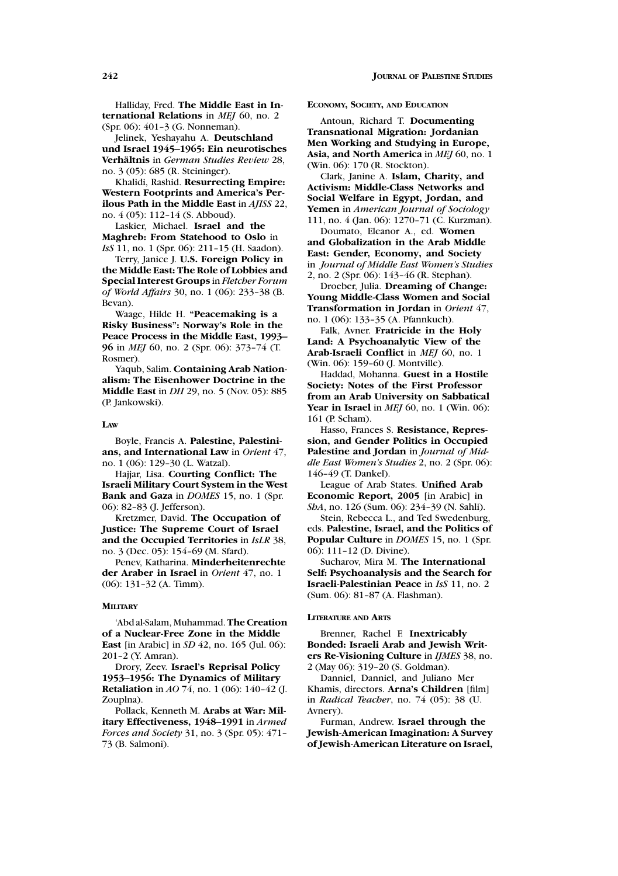Halliday, Fred. **The Middle East in International Relations** in *MEJ* 60, no. 2 (Spr. 06): 401–3 (G. Nonneman).

Jelinek, Yeshayahu A. **Deutschland und Israel 1945–1965: Ein neurotisches Verhaltnis ¨** in *German Studies Review* 28, no. 3 (05): 685 (R. Steininger).

Khalidi, Rashid. **Resurrecting Empire: Western Footprints and America's Perilous Path in the Middle East** in *AJISS* 22, no. 4 (05): 112–14 (S. Abboud).

Laskier, Michael. **Israel and the Maghreb: From Statehood to Oslo** in *IsS* 11, no. 1 (Spr. 06): 211–15 (H. Saadon).

Terry, Janice J. **U.S. Foreign Policy in the Middle East: The Role of Lobbies and Special Interest Groups** in *Fletcher Forum of World Affairs* 30, no. 1 (06): 233–38 (B. Bevan).

Waage, Hilde H. **"Peacemaking is a Risky Business": Norway's Role in the Peace Process in the Middle East, 1993– 96** in *MEJ* 60, no. 2 (Spr. 06): 373–74 (T. Rosmer).

Yaqub, Salim. **Containing Arab Nationalism: The Eisenhower Doctrine in the Middle East** in *DH* 29, no. 5 (Nov. 05): 885 (P. Jankowski).

#### **LAW**

Boyle, Francis A. **Palestine, Palestinians, and International Law** in *Orient* 47, no. 1 (06): 129–30 (L. Watzal).

Hajjar, Lisa. **Courting Conflict: The Israeli Military Court System in the West Bank and Gaza** in *DOMES* 15, no. 1 (Spr. 06): 82–83 (J. Jefferson).

Kretzmer, David. **The Occupation of Justice: The Supreme Court of Israel and the Occupied Territories** in *IsLR* 38, no. 3 (Dec. 05): 154–69 (M. Sfard).

Penev, Katharina. **Minderheitenrechte der Araber in Israel** in *Orient* 47, no. 1 (06): 131–32 (A. Timm).

#### **MILITARY**

'Abd al-Salam, Muhammad. **The Creation of a Nuclear-Free Zone in the Middle East** [in Arabic] in *SD* 42, no. 165 (Jul. 06): 201–2 (Y. Amran).

Drory, Zeev. **Israel's Reprisal Policy 1953–1956: The Dynamics of Military Retaliation** in *AO* 74, no. 1 (06): 140–42 (J. Zouplna).

Pollack, Kenneth M. **Arabs at War: Military Effectiveness, 1948–1991** in *Armed Forces and Society* 31, no. 3 (Spr. 05): 471– 73 (B. Salmoni).

#### **ECONOMY, SOCIETY, AND EDUCATION**

Antoun, Richard T. **Documenting Transnational Migration: Jordanian Men Working and Studying in Europe, Asia, and North America** in *MEJ* 60, no. 1 (Win. 06): 170 (R. Stockton).

Clark, Janine A. **Islam, Charity, and Activism: Middle-Class Networks and Social Welfare in Egypt, Jordan, and Yemen** in *American Journal of Sociology* 111, no. 4 (Jan. 06): 1270–71 (C. Kurzman).

Doumato, Eleanor A., ed. **Women and Globalization in the Arab Middle East: Gender, Economy, and Society** in *Journal of Middle East Women's Studies* 2, no. 2 (Spr. 06): 143–46 (R. Stephan).

Droeber, Julia. **Dreaming of Change: Young Middle-Class Women and Social Transformation in Jordan** in *Orient* 47, no. 1 (06): 133–35 (A. Pfannkuch).

Falk, Avner. **Fratricide in the Holy Land: A Psychoanalytic View of the Arab-Israeli Conflict** in *MEJ* 60, no. 1 (Win. 06): 159–60 (J. Montville).

Haddad, Mohanna. **Guest in a Hostile Society: Notes of the First Professor from an Arab University on Sabbatical Year in Israel** in *MEJ* 60, no. 1 (Win. 06): 161 (P. Scham).

Hasso, Frances S. **Resistance, Repression, and Gender Politics in Occupied Palestine and Jordan** in *Journal of Middle East Women's Studies* 2, no. 2 (Spr. 06): 146–49 (T. Dankel).

League of Arab States. **Unified Arab Economic Report, 2005** [in Arabic] in *ShA*, no. 126 (Sum. 06): 234–39 (N. Sahli).

Stein, Rebecca L., and Ted Swedenburg, eds. **Palestine, Israel, and the Politics of Popular Culture** in *DOMES* 15, no. 1 (Spr. 06): 111–12 (D. Divine).

Sucharov, Mira M. **The International Self: Psychoanalysis and the Search for Israeli-Palestinian Peace** in *IsS* 11, no. 2 (Sum. 06): 81–87 (A. Flashman).

#### **LITERATURE AND ARTS**

Brenner, Rachel F. **Inextricably Bonded: Israeli Arab and Jewish Writers Re-Visioning Culture** in *IJMES* 38, no. 2 (May 06): 319–20 (S. Goldman).

Danniel, Danniel, and Juliano Mer Khamis, directors. **Arna's Children** [film] in *Radical Teacher*, no. 74 (05): 38 (U. Avnery).

Furman, Andrew. **Israel through the Jewish-American Imagination: A Survey of Jewish-American Literature on Israel,**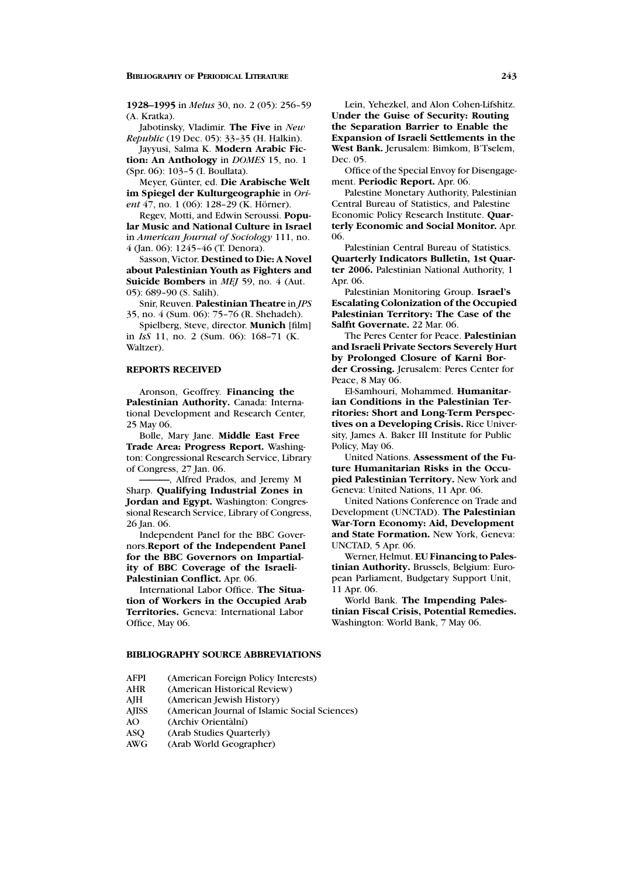**1928–1995** in *Melus* 30, no. 2 (05): 256–59 (A. Kratka).

Jabotinsky, Vladimir. **The Five** in *New Republic* (19 Dec. 05): 33–35 (H. Halkin).

Jayyusi, Salma K. **Modern Arabic Fiction: An Anthology** in *DOMES* 15, no. 1 (Spr. 06): 103–5 (I. Boullata).

Meyer, Günter, ed. Die Arabische Welt **im Spiegel der Kulturgeographie** in *Orient* 47, no. 1 (06): 128-29 (K. Hörner).

Regev, Motti, and Edwin Seroussi. **Popular Music and National Culture in Israel** in *American Journal of Sociology* 111, no. 4 (Jan. 06): 1245–46 (T. Denora).

Sasson, Victor. **Destined to Die: A Novel about Palestinian Youth as Fighters and Suicide Bombers** in *MEJ* 59, no. 4 (Aut. 05): 689–90 (S. Salih).

Snir, Reuven. **Palestinian Theatre** in *JPS* 35, no. 4 (Sum. 06): 75–76 (R. Shehadeh).

Spielberg, Steve, director. **Munich** [film] in *IsS* 11, no. 2 (Sum. 06): 168–71 (K. Waltzer).

### **REPORTS RECEIVED**

Aronson, Geoffrey. **Financing the Palestinian Authority.** Canada: International Development and Research Center, 25 May 06.

Bolle, Mary Jane. **Middle East Free Trade Area: Progress Report.** Washington: Congressional Research Service, Library of Congress, 27 Jan. 06.

**———**, Alfred Prados, and Jeremy M Sharp. **Qualifying Industrial Zones in Jordan and Egypt.** Washington: Congressional Research Service, Library of Congress, 26 Jan. 06.

Independent Panel for the BBC Governors.**Report of the Independent Panel for the BBC Governors on Impartiality of BBC Coverage of the Israeli-Palestinian Conflict.** Apr. 06.

International Labor Office. **The Situation of Workers in the Occupied Arab Territories.** Geneva: International Labor Office, May 06.

### **BIBLIOGRAPHY SOURCE ABBREVIATIONS**

- AFPI (American Foreign Policy Interests)<br>AHR (American Historical Review)
- (American Historical Review)
- AJH (American Jewish History)
- AJISS (American Journal of Islamic Social Sciences)
- AO (Archiv Orientàlní)<br>ASO (Arab Studies Ouart
- (Arab Studies Quarterly)
- AWG (Arab World Geographer)

Lein, Yehezkel, and Alon Cohen-Lifshitz. **Under the Guise of Security: Routing the Separation Barrier to Enable the Expansion of Israeli Settlements in the West Bank.** Jerusalem: Bimkom, B'Tselem, Dec. 05.

Office of the Special Envoy for Disengagement. **Periodic Report.** Apr. 06.

Palestine Monetary Authority, Palestinian Central Bureau of Statistics, and Palestine Economic Policy Research Institute. **Quarterly Economic and Social Monitor.** Apr. 06.

Palestinian Central Bureau of Statistics. **Quarterly Indicators Bulletin, 1st Quarter 2006.** Palestinian National Authority, 1 Apr. 06.

Palestinian Monitoring Group. **Israel's Escalating Colonization of the Occupied Palestinian Territory: The Case of the Salfit Governate.** 22 Mar. 06.

The Peres Center for Peace. **Palestinian and Israeli Private Sectors Severely Hurt by Prolonged Closure of Karni Border Crossing.** Jerusalem: Peres Center for Peace, 8 May 06.

El-Samhouri, Mohammed. **Humanitarian Conditions in the Palestinian Territories: Short and Long-Term Perspectives on a Developing Crisis.** Rice University, James A. Baker III Institute for Public Policy, May 06.

United Nations. **Assessment of the Future Humanitarian Risks in the Occupied Palestinian Territory.** New York and Geneva: United Nations, 11 Apr. 06.

United Nations Conference on Trade and Development (UNCTAD). **The Palestinian War-Torn Economy: Aid, Development and State Formation.** New York, Geneva: UNCTAD, 5 Apr. 06.

Werner, Helmut. **EU Financing to Palestinian Authority.** Brussels, Belgium: European Parliament, Budgetary Support Unit, 11 Apr. 06.

World Bank. **The Impending Palestinian Fiscal Crisis, Potential Remedies.** Washington: World Bank, 7 May 06.